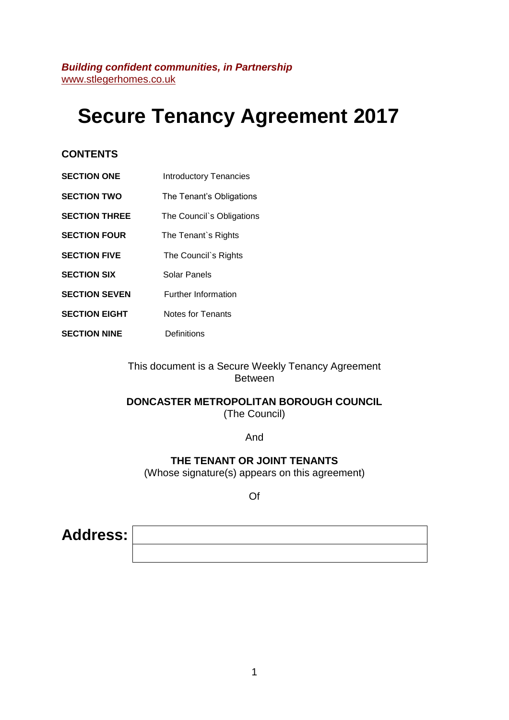# **Secure Tenancy Agreement 2017**

## **CONTENTS**

- **SECTION ONE** Introductory Tenancies
- **SECTION TWO** The Tenant's Obligations
- **SECTION THREE** The Council`s Obligations
- **SECTION FOUR** The Tenant's Rights
- **SECTION FIVE** The Council`s Rights
- **SECTION SIX** Solar Panels
- **SECTION SEVEN** Further Information
- **SECTION EIGHT** Notes for Tenants
- **SECTION NINE** Definitions

This document is a Secure Weekly Tenancy Agreement Between

# **DONCASTER METROPOLITAN BOROUGH COUNCIL**

(The Council)

And

**THE TENANT OR JOINT TENANTS**

(Whose signature(s) appears on this agreement)

Of

**Address:**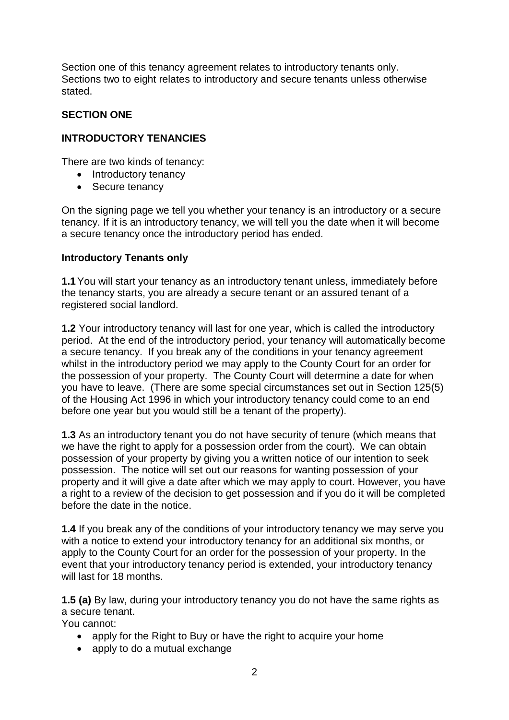Section one of this tenancy agreement relates to introductory tenants only. Sections two to eight relates to introductory and secure tenants unless otherwise stated.

## **SECTION ONE**

## **INTRODUCTORY TENANCIES**

There are two kinds of tenancy:

- Introductory tenancy
- Secure tenancy

On the signing page we tell you whether your tenancy is an introductory or a secure tenancy. If it is an introductory tenancy, we will tell you the date when it will become a secure tenancy once the introductory period has ended.

#### **Introductory Tenants only**

**1.1**You will start your tenancy as an introductory tenant unless, immediately before the tenancy starts, you are already a secure tenant or an assured tenant of a registered social landlord.

**1.2** Your introductory tenancy will last for one year, which is called the introductory period. At the end of the introductory period, your tenancy will automatically become a secure tenancy. If you break any of the conditions in your tenancy agreement whilst in the introductory period we may apply to the County Court for an order for the possession of your property. The County Court will determine a date for when you have to leave. (There are some special circumstances set out in Section 125(5) of the Housing Act 1996 in which your introductory tenancy could come to an end before one year but you would still be a tenant of the property).

**1.3** As an introductory tenant you do not have security of tenure (which means that we have the right to apply for a possession order from the court). We can obtain possession of your property by giving you a written notice of our intention to seek possession. The notice will set out our reasons for wanting possession of your property and it will give a date after which we may apply to court. However, you have a right to a review of the decision to get possession and if you do it will be completed before the date in the notice.

**1.4** If you break any of the conditions of your introductory tenancy we may serve you with a notice to extend your introductory tenancy for an additional six months, or apply to the County Court for an order for the possession of your property. In the event that your introductory tenancy period is extended, your introductory tenancy will last for 18 months.

**1.5 (a)** By law, during your introductory tenancy you do not have the same rights as a secure tenant.

You cannot:

- apply for the Right to Buy or have the right to acquire your home
- apply to do a mutual exchange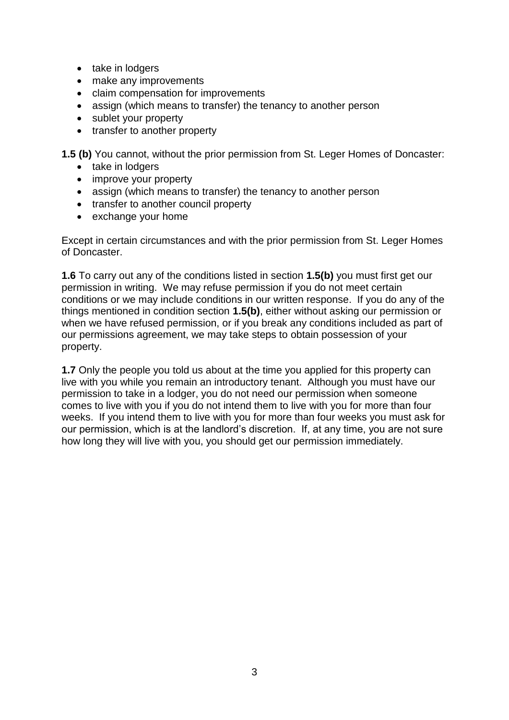- take in lodgers
- make any improvements
- claim compensation for improvements
- assign (which means to transfer) the tenancy to another person
- sublet your property
- transfer to another property

**1.5 (b)** You cannot, without the prior permission from St. Leger Homes of Doncaster:

- take in lodgers
- improve your property
- assign (which means to transfer) the tenancy to another person
- transfer to another council property
- exchange your home

Except in certain circumstances and with the prior permission from St. Leger Homes of Doncaster.

**1.6** To carry out any of the conditions listed in section **1.5(b)** you must first get our permission in writing. We may refuse permission if you do not meet certain conditions or we may include conditions in our written response. If you do any of the things mentioned in condition section **1.5(b)**, either without asking our permission or when we have refused permission, or if you break any conditions included as part of our permissions agreement, we may take steps to obtain possession of your property.

**1.7** Only the people you told us about at the time you applied for this property can live with you while you remain an introductory tenant. Although you must have our permission to take in a lodger, you do not need our permission when someone comes to live with you if you do not intend them to live with you for more than four weeks. If you intend them to live with you for more than four weeks you must ask for our permission, which is at the landlord's discretion. If, at any time, you are not sure how long they will live with you, you should get our permission immediately.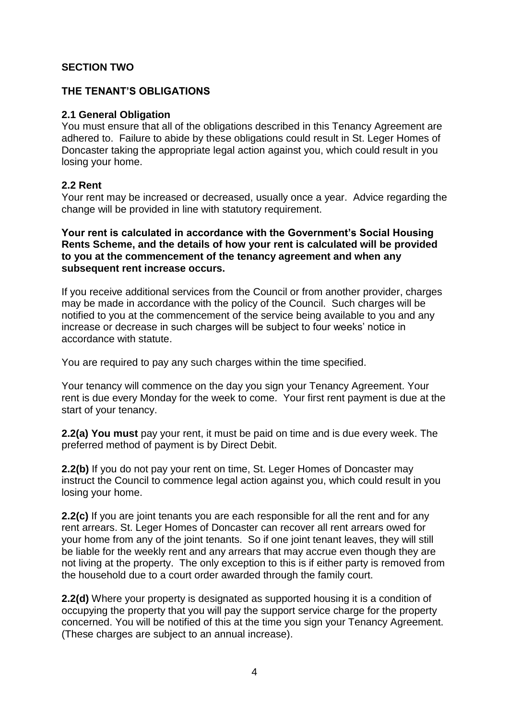## **SECTION TWO**

#### **THE TENANT'S OBLIGATIONS**

#### **2.1 General Obligation**

You must ensure that all of the obligations described in this Tenancy Agreement are adhered to. Failure to abide by these obligations could result in St. Leger Homes of Doncaster taking the appropriate legal action against you, which could result in you losing your home.

#### **2.2 Rent**

Your rent may be increased or decreased, usually once a year. Advice regarding the change will be provided in line with statutory requirement.

**Your rent is calculated in accordance with the Government's Social Housing Rents Scheme, and the details of how your rent is calculated will be provided to you at the commencement of the tenancy agreement and when any subsequent rent increase occurs.**

If you receive additional services from the Council or from another provider, charges may be made in accordance with the policy of the Council. Such charges will be notified to you at the commencement of the service being available to you and any increase or decrease in such charges will be subject to four weeks' notice in accordance with statute.

You are required to pay any such charges within the time specified.

Your tenancy will commence on the day you sign your Tenancy Agreement. Your rent is due every Monday for the week to come. Your first rent payment is due at the start of your tenancy.

**2.2(a) You must** pay your rent, it must be paid on time and is due every week. The preferred method of payment is by Direct Debit.

**2.2(b)** If you do not pay your rent on time, St. Leger Homes of Doncaster may instruct the Council to commence legal action against you, which could result in you losing your home.

**2.2(c)** If you are joint tenants you are each responsible for all the rent and for any rent arrears. St. Leger Homes of Doncaster can recover all rent arrears owed for your home from any of the joint tenants. So if one joint tenant leaves, they will still be liable for the weekly rent and any arrears that may accrue even though they are not living at the property. The only exception to this is if either party is removed from the household due to a court order awarded through the family court.

**2.2(d)** Where your property is designated as supported housing it is a condition of occupying the property that you will pay the support service charge for the property concerned. You will be notified of this at the time you sign your Tenancy Agreement. (These charges are subject to an annual increase).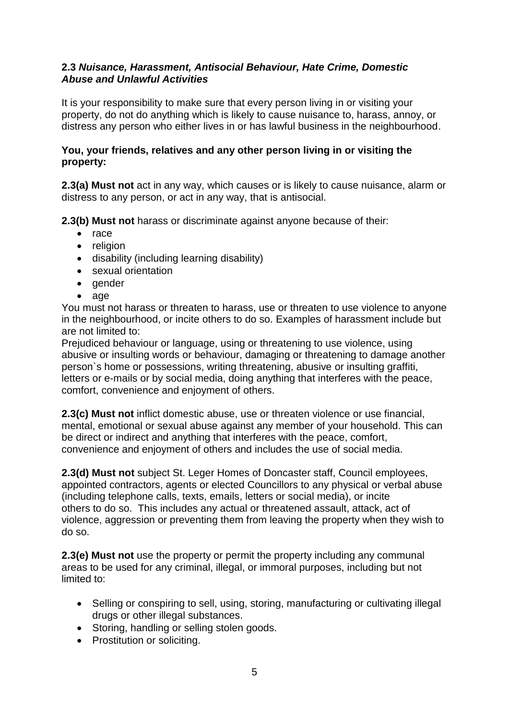## **2.3** *Nuisance, Harassment, Antisocial Behaviour, Hate Crime, Domestic Abuse and Unlawful Activities*

It is your responsibility to make sure that every person living in or visiting your property, do not do anything which is likely to cause nuisance to, harass, annoy, or distress any person who either lives in or has lawful business in the neighbourhood.

## **You, your friends, relatives and any other person living in or visiting the property:**

**2.3(a) Must not** act in any way, which causes or is likely to cause nuisance, alarm or distress to any person, or act in any way, that is antisocial.

**2.3(b) Must not** harass or discriminate against anyone because of their:

- $\bullet$  race
- religion
- disability (including learning disability)
- sexual orientation
- gender
- age

You must not harass or threaten to harass, use or threaten to use violence to anyone in the neighbourhood, or incite others to do so. Examples of harassment include but are not limited to:

Prejudiced behaviour or language, using or threatening to use violence, using abusive or insulting words or behaviour, damaging or threatening to damage another person`s home or possessions, writing threatening, abusive or insulting graffiti, letters or e-mails or by social media, doing anything that interferes with the peace, comfort, convenience and enjoyment of others.

**2.3(c) Must not** inflict domestic abuse, use or threaten violence or use financial, mental, emotional or sexual abuse against any member of your household. This can be direct or indirect and anything that interferes with the peace, comfort, convenience and enjoyment of others and includes the use of social media.

**2.3(d) Must not** subject St. Leger Homes of Doncaster staff, Council employees, appointed contractors, agents or elected Councillors to any physical or verbal abuse (including telephone calls, texts, emails, letters or social media), or incite others to do so. This includes any actual or threatened assault, attack, act of violence, aggression or preventing them from leaving the property when they wish to do so.

**2.3(e) Must not** use the property or permit the property including any communal areas to be used for any criminal, illegal, or immoral purposes, including but not limited to:

- Selling or conspiring to sell, using, storing, manufacturing or cultivating illegal drugs or other illegal substances.
- Storing, handling or selling stolen goods.
- Prostitution or soliciting.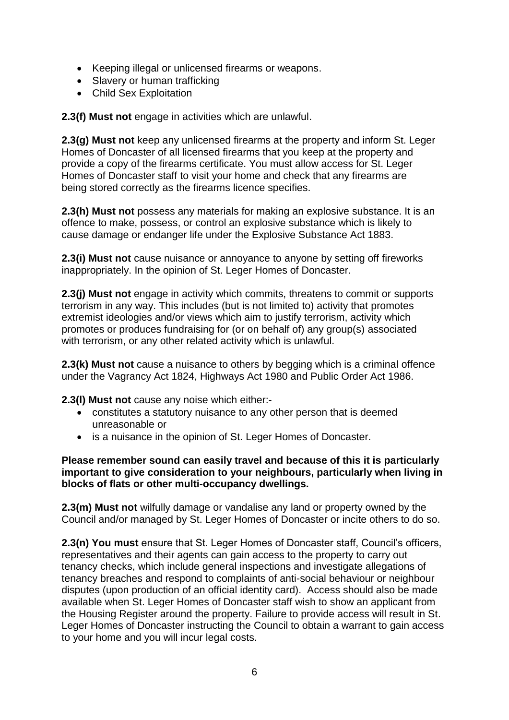- Keeping illegal or unlicensed firearms or weapons.
- Slavery or human trafficking
- Child Sex Exploitation

**2.3(f) Must not** engage in activities which are unlawful.

**2.3(g) Must not** keep any unlicensed firearms at the property and inform St. Leger Homes of Doncaster of all licensed firearms that you keep at the property and provide a copy of the firearms certificate. You must allow access for St. Leger Homes of Doncaster staff to visit your home and check that any firearms are being stored correctly as the firearms licence specifies.

**2.3(h) Must not** possess any materials for making an explosive substance. It is an offence to make, possess, or control an explosive substance which is likely to cause damage or endanger life under the Explosive Substance Act 1883.

**2.3(i) Must not** cause nuisance or annoyance to anyone by setting off fireworks inappropriately. In the opinion of St. Leger Homes of Doncaster.

**2.3(j) Must not** engage in activity which commits, threatens to commit or supports terrorism in any way. This includes (but is not limited to) activity that promotes extremist ideologies and/or views which aim to justify terrorism, activity which promotes or produces fundraising for (or on behalf of) any group(s) associated with terrorism, or any other related activity which is unlawful.

**2.3(k) Must not** cause a nuisance to others by begging which is a criminal offence under the Vagrancy Act 1824, Highways Act 1980 and Public Order Act 1986.

**2.3(l) Must not** cause any noise which either:-

- constitutes a statutory nuisance to any other person that is deemed unreasonable or
- is a nuisance in the opinion of St. Leger Homes of Doncaster.

**Please remember sound can easily travel and because of this it is particularly important to give consideration to your neighbours, particularly when living in blocks of flats or other multi-occupancy dwellings.**

**2.3(m) Must not** wilfully damage or vandalise any land or property owned by the Council and/or managed by St. Leger Homes of Doncaster or incite others to do so.

**2.3(n) You must** ensure that St. Leger Homes of Doncaster staff, Council's officers, representatives and their agents can gain access to the property to carry out tenancy checks, which include general inspections and investigate allegations of tenancy breaches and respond to complaints of anti-social behaviour or neighbour disputes (upon production of an official identity card). Access should also be made available when St. Leger Homes of Doncaster staff wish to show an applicant from the Housing Register around the property. Failure to provide access will result in St. Leger Homes of Doncaster instructing the Council to obtain a warrant to gain access to your home and you will incur legal costs.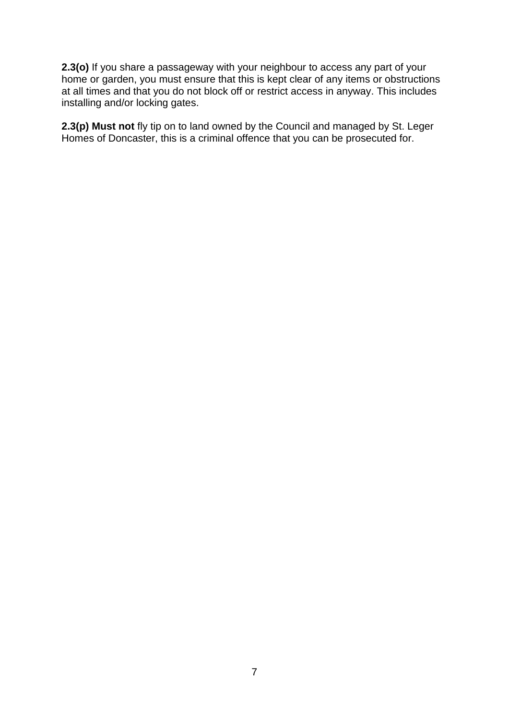**2.3(o)** If you share a passageway with your neighbour to access any part of your home or garden, you must ensure that this is kept clear of any items or obstructions at all times and that you do not block off or restrict access in anyway. This includes installing and/or locking gates.

**2.3(p) Must not** fly tip on to land owned by the Council and managed by St. Leger Homes of Doncaster, this is a criminal offence that you can be prosecuted for.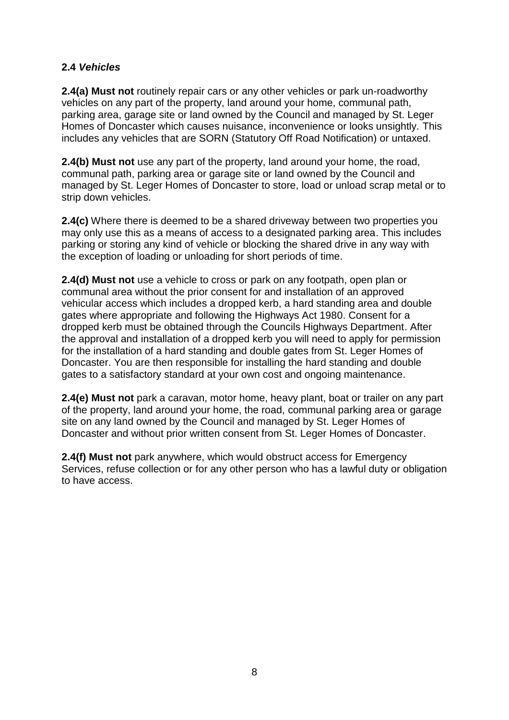## **2.4** *Vehicles*

**2.4(a) Must not** routinely repair cars or any other vehicles or park un-roadworthy vehicles on any part of the property, land around your home, communal path, parking area, garage site or land owned by the Council and managed by St. Leger Homes of Doncaster which causes nuisance, inconvenience or looks unsightly. This includes any vehicles that are SORN (Statutory Off Road Notification) or untaxed.

**2.4(b) Must not** use any part of the property, land around your home, the road, communal path, parking area or garage site or land owned by the Council and managed by St. Leger Homes of Doncaster to store, load or unload scrap metal or to strip down vehicles.

**2.4(c)** Where there is deemed to be a shared driveway between two properties you may only use this as a means of access to a designated parking area. This includes parking or storing any kind of vehicle or blocking the shared drive in any way with the exception of loading or unloading for short periods of time.

**2.4(d) Must not** use a vehicle to cross or park on any footpath, open plan or communal area without the prior consent for and installation of an approved vehicular access which includes a dropped kerb, a hard standing area and double gates where appropriate and following the Highways Act 1980. Consent for a dropped kerb must be obtained through the Councils Highways Department. After the approval and installation of a dropped kerb you will need to apply for permission for the installation of a hard standing and double gates from St. Leger Homes of Doncaster. You are then responsible for installing the hard standing and double gates to a satisfactory standard at your own cost and ongoing maintenance.

**2.4(e) Must not** park a caravan, motor home, heavy plant, boat or trailer on any part of the property, land around your home, the road, communal parking area or garage site on any land owned by the Council and managed by St. Leger Homes of Doncaster and without prior written consent from St. Leger Homes of Doncaster.

**2.4(f) Must not** park anywhere, which would obstruct access for Emergency Services, refuse collection or for any other person who has a lawful duty or obligation to have access.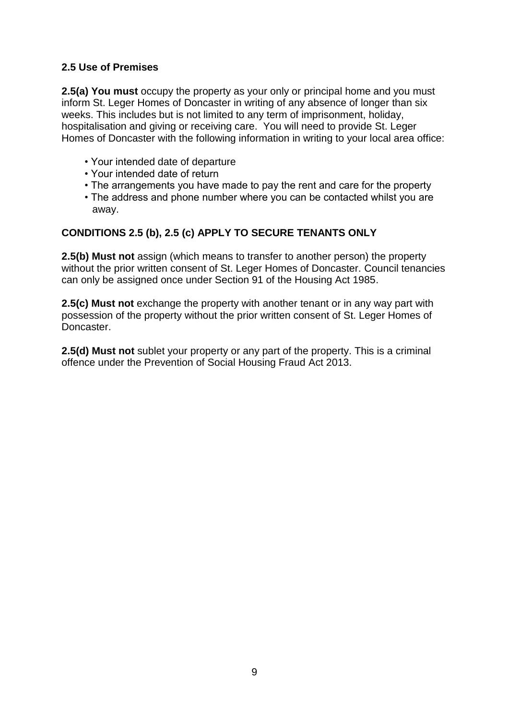# **2.5 Use of Premises**

**2.5(a) You must** occupy the property as your only or principal home and you must inform St. Leger Homes of Doncaster in writing of any absence of longer than six weeks. This includes but is not limited to any term of imprisonment, holiday, hospitalisation and giving or receiving care. You will need to provide St. Leger Homes of Doncaster with the following information in writing to your local area office:

- Your intended date of departure
- Your intended date of return
- The arrangements you have made to pay the rent and care for the property
- The address and phone number where you can be contacted whilst you are away.

# **CONDITIONS 2.5 (b), 2.5 (c) APPLY TO SECURE TENANTS ONLY**

**2.5(b) Must not** assign (which means to transfer to another person) the property without the prior written consent of St. Leger Homes of Doncaster. Council tenancies can only be assigned once under Section 91 of the Housing Act 1985.

**2.5(c) Must not** exchange the property with another tenant or in any way part with possession of the property without the prior written consent of St. Leger Homes of Doncaster.

**2.5(d) Must not** sublet your property or any part of the property. This is a criminal offence under the Prevention of Social Housing Fraud Act 2013.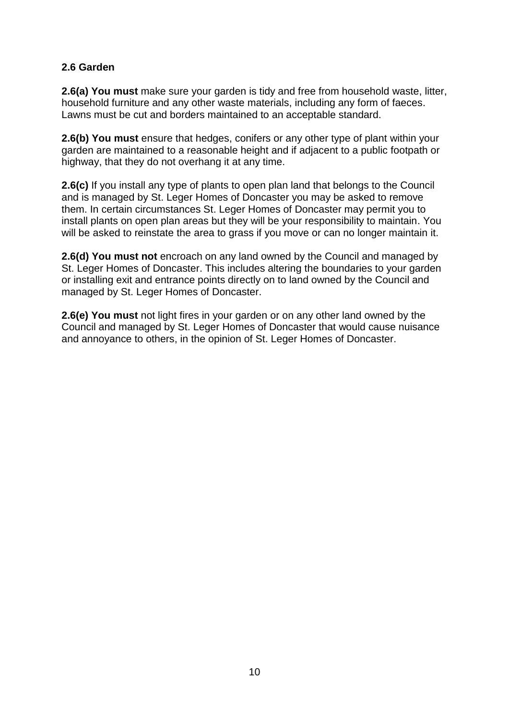## **2.6 Garden**

**2.6(a) You must** make sure your garden is tidy and free from household waste, litter, household furniture and any other waste materials, including any form of faeces. Lawns must be cut and borders maintained to an acceptable standard.

**2.6(b) You must** ensure that hedges, conifers or any other type of plant within your garden are maintained to a reasonable height and if adjacent to a public footpath or highway, that they do not overhang it at any time.

**2.6(c)** If you install any type of plants to open plan land that belongs to the Council and is managed by St. Leger Homes of Doncaster you may be asked to remove them. In certain circumstances St. Leger Homes of Doncaster may permit you to install plants on open plan areas but they will be your responsibility to maintain. You will be asked to reinstate the area to grass if you move or can no longer maintain it.

**2.6(d) You must not** encroach on any land owned by the Council and managed by St. Leger Homes of Doncaster. This includes altering the boundaries to your garden or installing exit and entrance points directly on to land owned by the Council and managed by St. Leger Homes of Doncaster.

**2.6(e) You must** not light fires in your garden or on any other land owned by the Council and managed by St. Leger Homes of Doncaster that would cause nuisance and annoyance to others, in the opinion of St. Leger Homes of Doncaster.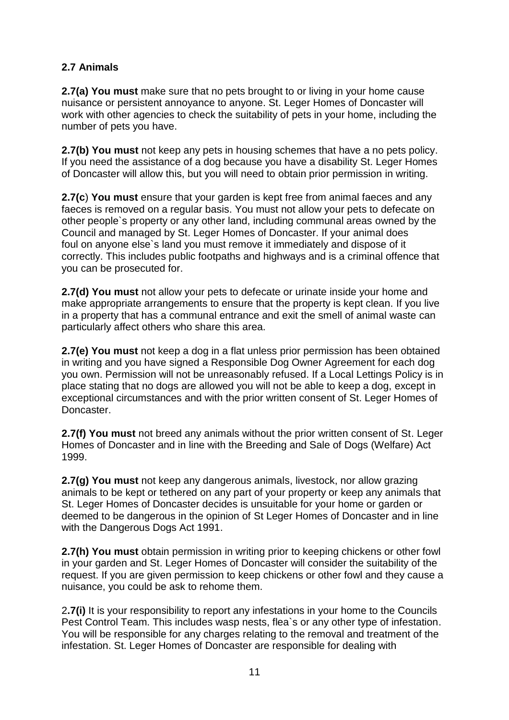# **2.7 Animals**

**2.7(a) You must** make sure that no pets brought to or living in your home cause nuisance or persistent annoyance to anyone. St. Leger Homes of Doncaster will work with other agencies to check the suitability of pets in your home, including the number of pets you have.

**2.7(b) You must** not keep any pets in housing schemes that have a no pets policy. If you need the assistance of a dog because you have a disability St. Leger Homes of Doncaster will allow this, but you will need to obtain prior permission in writing.

**2.7(c**) **You must** ensure that your garden is kept free from animal faeces and any faeces is removed on a regular basis. You must not allow your pets to defecate on other people`s property or any other land, including communal areas owned by the Council and managed by St. Leger Homes of Doncaster. If your animal does foul on anyone else`s land you must remove it immediately and dispose of it correctly. This includes public footpaths and highways and is a criminal offence that you can be prosecuted for.

**2.7(d) You must** not allow your pets to defecate or urinate inside your home and make appropriate arrangements to ensure that the property is kept clean. If you live in a property that has a communal entrance and exit the smell of animal waste can particularly affect others who share this area.

**2.7(e) You must** not keep a dog in a flat unless prior permission has been obtained in writing and you have signed a Responsible Dog Owner Agreement for each dog you own. Permission will not be unreasonably refused. If a Local Lettings Policy is in place stating that no dogs are allowed you will not be able to keep a dog, except in exceptional circumstances and with the prior written consent of St. Leger Homes of Doncaster.

**2.7(f) You must** not breed any animals without the prior written consent of St. Leger Homes of Doncaster and in line with the Breeding and Sale of Dogs (Welfare) Act 1999.

**2.7(g) You must** not keep any dangerous animals, livestock, nor allow grazing animals to be kept or tethered on any part of your property or keep any animals that St. Leger Homes of Doncaster decides is unsuitable for your home or garden or deemed to be dangerous in the opinion of St Leger Homes of Doncaster and in line with the Dangerous Dogs Act 1991.

**2.7(h) You must** obtain permission in writing prior to keeping chickens or other fowl in your garden and St. Leger Homes of Doncaster will consider the suitability of the request. If you are given permission to keep chickens or other fowl and they cause a nuisance, you could be ask to rehome them.

2**.7(i)** It is your responsibility to report any infestations in your home to the Councils Pest Control Team. This includes wasp nests, flea`s or any other type of infestation. You will be responsible for any charges relating to the removal and treatment of the infestation. St. Leger Homes of Doncaster are responsible for dealing with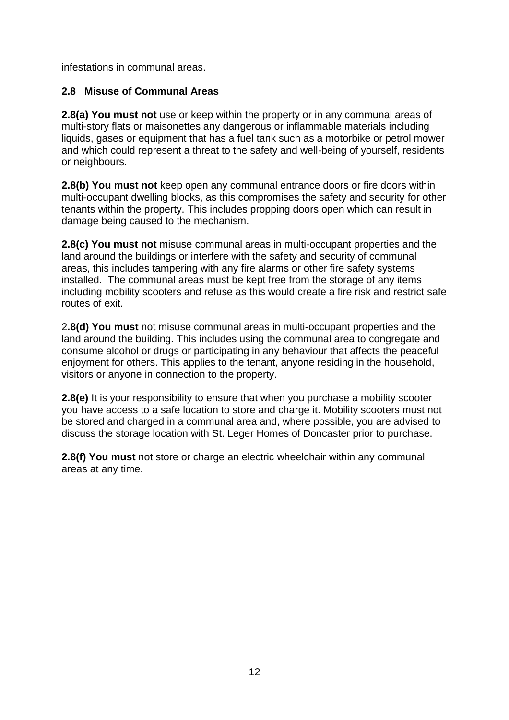infestations in communal areas.

## **2.8 Misuse of Communal Areas**

**2.8(a) You must not** use or keep within the property or in any communal areas of multi-story flats or maisonettes any dangerous or inflammable materials including liquids, gases or equipment that has a fuel tank such as a motorbike or petrol mower and which could represent a threat to the safety and well-being of yourself, residents or neighbours.

**2.8(b) You must not** keep open any communal entrance doors or fire doors within multi-occupant dwelling blocks, as this compromises the safety and security for other tenants within the property. This includes propping doors open which can result in damage being caused to the mechanism.

**2.8(c) You must not** misuse communal areas in multi-occupant properties and the land around the buildings or interfere with the safety and security of communal areas, this includes tampering with any fire alarms or other fire safety systems installed. The communal areas must be kept free from the storage of any items including mobility scooters and refuse as this would create a fire risk and restrict safe routes of exit.

2**.8(d) You must** not misuse communal areas in multi-occupant properties and the land around the building. This includes using the communal area to congregate and consume alcohol or drugs or participating in any behaviour that affects the peaceful enjoyment for others. This applies to the tenant, anyone residing in the household, visitors or anyone in connection to the property.

**2.8(e)** It is your responsibility to ensure that when you purchase a mobility scooter you have access to a safe location to store and charge it. Mobility scooters must not be stored and charged in a communal area and, where possible, you are advised to discuss the storage location with St. Leger Homes of Doncaster prior to purchase.

**2.8(f) You must** not store or charge an electric wheelchair within any communal areas at any time.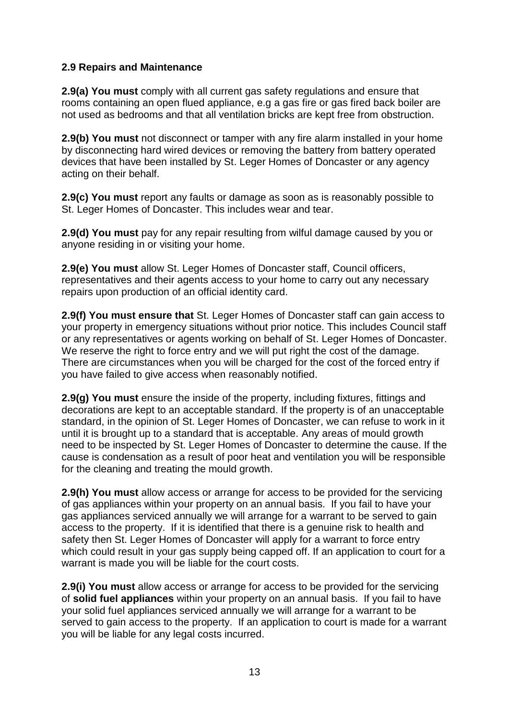## **2.9 Repairs and Maintenance**

**2.9(a) You must** comply with all current gas safety regulations and ensure that rooms containing an open flued appliance, e.g a gas fire or gas fired back boiler are not used as bedrooms and that all ventilation bricks are kept free from obstruction.

**2.9(b) You must** not disconnect or tamper with any fire alarm installed in your home by disconnecting hard wired devices or removing the battery from battery operated devices that have been installed by St. Leger Homes of Doncaster or any agency acting on their behalf.

**2.9(c) You must** report any faults or damage as soon as is reasonably possible to St. Leger Homes of Doncaster. This includes wear and tear.

**2.9(d) You must** pay for any repair resulting from wilful damage caused by you or anyone residing in or visiting your home.

**2.9(e) You must** allow St. Leger Homes of Doncaster staff, Council officers, representatives and their agents access to your home to carry out any necessary repairs upon production of an official identity card.

**2.9(f) You must ensure that** St. Leger Homes of Doncaster staff can gain access to your property in emergency situations without prior notice. This includes Council staff or any representatives or agents working on behalf of St. Leger Homes of Doncaster. We reserve the right to force entry and we will put right the cost of the damage. There are circumstances when you will be charged for the cost of the forced entry if you have failed to give access when reasonably notified.

**2.9(g) You must** ensure the inside of the property, including fixtures, fittings and decorations are kept to an acceptable standard. If the property is of an unacceptable standard, in the opinion of St. Leger Homes of Doncaster, we can refuse to work in it until it is brought up to a standard that is acceptable. Any areas of mould growth need to be inspected by St. Leger Homes of Doncaster to determine the cause. If the cause is condensation as a result of poor heat and ventilation you will be responsible for the cleaning and treating the mould growth.

**2.9(h) You must** allow access or arrange for access to be provided for the servicing of gas appliances within your property on an annual basis. If you fail to have your gas appliances serviced annually we will arrange for a warrant to be served to gain access to the property. If it is identified that there is a genuine risk to health and safety then St. Leger Homes of Doncaster will apply for a warrant to force entry which could result in your gas supply being capped off. If an application to court for a warrant is made you will be liable for the court costs.

**2.9(i) You must** allow access or arrange for access to be provided for the servicing of **solid fuel appliances** within your property on an annual basis. If you fail to have your solid fuel appliances serviced annually we will arrange for a warrant to be served to gain access to the property. If an application to court is made for a warrant you will be liable for any legal costs incurred.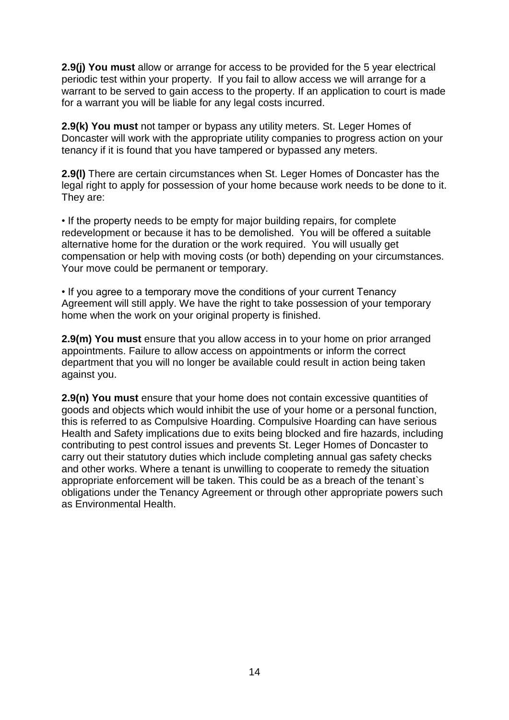**2.9(j) You must** allow or arrange for access to be provided for the 5 year electrical periodic test within your property. If you fail to allow access we will arrange for a warrant to be served to gain access to the property. If an application to court is made for a warrant you will be liable for any legal costs incurred.

**2.9(k) You must** not tamper or bypass any utility meters. St. Leger Homes of Doncaster will work with the appropriate utility companies to progress action on your tenancy if it is found that you have tampered or bypassed any meters.

**2.9(l)** There are certain circumstances when St. Leger Homes of Doncaster has the legal right to apply for possession of your home because work needs to be done to it. They are:

• If the property needs to be empty for major building repairs, for complete redevelopment or because it has to be demolished. You will be offered a suitable alternative home for the duration or the work required. You will usually get compensation or help with moving costs (or both) depending on your circumstances. Your move could be permanent or temporary.

• If you agree to a temporary move the conditions of your current Tenancy Agreement will still apply. We have the right to take possession of your temporary home when the work on your original property is finished.

**2.9(m) You must** ensure that you allow access in to your home on prior arranged appointments. Failure to allow access on appointments or inform the correct department that you will no longer be available could result in action being taken against you.

**2.9(n) You must** ensure that your home does not contain excessive quantities of goods and objects which would inhibit the use of your home or a personal function, this is referred to as Compulsive Hoarding. Compulsive Hoarding can have serious Health and Safety implications due to exits being blocked and fire hazards, including contributing to pest control issues and prevents St. Leger Homes of Doncaster to carry out their statutory duties which include completing annual gas safety checks and other works. Where a tenant is unwilling to cooperate to remedy the situation appropriate enforcement will be taken. This could be as a breach of the tenant`s obligations under the Tenancy Agreement or through other appropriate powers such as Environmental Health.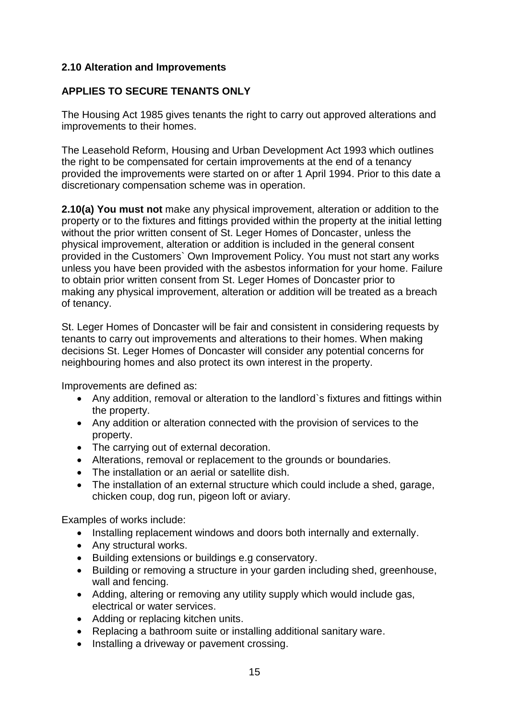## **2.10 Alteration and Improvements**

## **APPLIES TO SECURE TENANTS ONLY**

The Housing Act 1985 gives tenants the right to carry out approved alterations and improvements to their homes.

The Leasehold Reform, Housing and Urban Development Act 1993 which outlines the right to be compensated for certain improvements at the end of a tenancy provided the improvements were started on or after 1 April 1994. Prior to this date a discretionary compensation scheme was in operation.

**2.10(a) You must not** make any physical improvement, alteration or addition to the property or to the fixtures and fittings provided within the property at the initial letting without the prior written consent of St. Leger Homes of Doncaster, unless the physical improvement, alteration or addition is included in the general consent provided in the Customers` Own Improvement Policy. You must not start any works unless you have been provided with the asbestos information for your home. Failure to obtain prior written consent from St. Leger Homes of Doncaster prior to making any physical improvement, alteration or addition will be treated as a breach of tenancy.

St. Leger Homes of Doncaster will be fair and consistent in considering requests by tenants to carry out improvements and alterations to their homes. When making decisions St. Leger Homes of Doncaster will consider any potential concerns for neighbouring homes and also protect its own interest in the property.

Improvements are defined as:

- Any addition, removal or alteration to the landlord`s fixtures and fittings within the property.
- Any addition or alteration connected with the provision of services to the property.
- The carrying out of external decoration.
- Alterations, removal or replacement to the grounds or boundaries.
- The installation or an aerial or satellite dish.
- The installation of an external structure which could include a shed, garage, chicken coup, dog run, pigeon loft or aviary.

Examples of works include:

- Installing replacement windows and doors both internally and externally.
- Any structural works.
- Building extensions or buildings e.g conservatory.
- Building or removing a structure in your garden including shed, greenhouse, wall and fencing.
- Adding, altering or removing any utility supply which would include gas, electrical or water services.
- Adding or replacing kitchen units.
- Replacing a bathroom suite or installing additional sanitary ware.
- Installing a driveway or pavement crossing.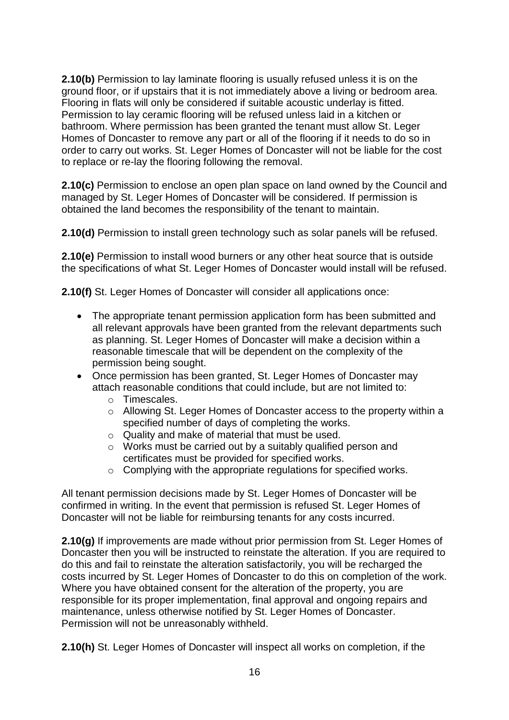**2.10(b)** Permission to lay laminate flooring is usually refused unless it is on the ground floor, or if upstairs that it is not immediately above a living or bedroom area. Flooring in flats will only be considered if suitable acoustic underlay is fitted. Permission to lay ceramic flooring will be refused unless laid in a kitchen or bathroom. Where permission has been granted the tenant must allow St. Leger Homes of Doncaster to remove any part or all of the flooring if it needs to do so in order to carry out works. St. Leger Homes of Doncaster will not be liable for the cost to replace or re-lay the flooring following the removal.

**2.10(c)** Permission to enclose an open plan space on land owned by the Council and managed by St. Leger Homes of Doncaster will be considered. If permission is obtained the land becomes the responsibility of the tenant to maintain.

**2.10(d)** Permission to install green technology such as solar panels will be refused.

**2.10(e)** Permission to install wood burners or any other heat source that is outside the specifications of what St. Leger Homes of Doncaster would install will be refused.

**2.10(f)** St. Leger Homes of Doncaster will consider all applications once:

- The appropriate tenant permission application form has been submitted and all relevant approvals have been granted from the relevant departments such as planning. St. Leger Homes of Doncaster will make a decision within a reasonable timescale that will be dependent on the complexity of the permission being sought.
- Once permission has been granted, St. Leger Homes of Doncaster may attach reasonable conditions that could include, but are not limited to:
	- o Timescales.
	- o Allowing St. Leger Homes of Doncaster access to the property within a specified number of days of completing the works.
	- o Quality and make of material that must be used.
	- o Works must be carried out by a suitably qualified person and certificates must be provided for specified works.
	- o Complying with the appropriate regulations for specified works.

All tenant permission decisions made by St. Leger Homes of Doncaster will be confirmed in writing. In the event that permission is refused St. Leger Homes of Doncaster will not be liable for reimbursing tenants for any costs incurred.

**2.10(g)** If improvements are made without prior permission from St. Leger Homes of Doncaster then you will be instructed to reinstate the alteration. If you are required to do this and fail to reinstate the alteration satisfactorily, you will be recharged the costs incurred by St. Leger Homes of Doncaster to do this on completion of the work. Where you have obtained consent for the alteration of the property, you are responsible for its proper implementation, final approval and ongoing repairs and maintenance, unless otherwise notified by St. Leger Homes of Doncaster. Permission will not be unreasonably withheld.

**2.10(h)** St. Leger Homes of Doncaster will inspect all works on completion, if the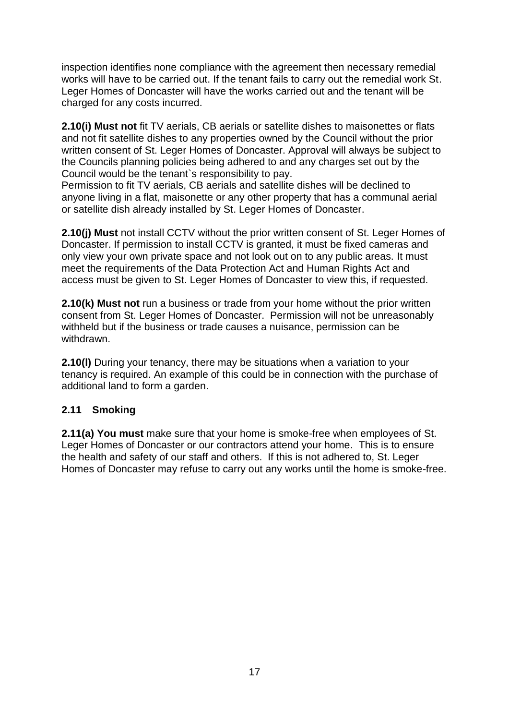inspection identifies none compliance with the agreement then necessary remedial works will have to be carried out. If the tenant fails to carry out the remedial work St. Leger Homes of Doncaster will have the works carried out and the tenant will be charged for any costs incurred.

**2.10(i) Must not** fit TV aerials, CB aerials or satellite dishes to maisonettes or flats and not fit satellite dishes to any properties owned by the Council without the prior written consent of St. Leger Homes of Doncaster. Approval will always be subject to the Councils planning policies being adhered to and any charges set out by the Council would be the tenant`s responsibility to pay.

Permission to fit TV aerials, CB aerials and satellite dishes will be declined to anyone living in a flat, maisonette or any other property that has a communal aerial or satellite dish already installed by St. Leger Homes of Doncaster.

**2.10(j) Must** not install CCTV without the prior written consent of St. Leger Homes of Doncaster. If permission to install CCTV is granted, it must be fixed cameras and only view your own private space and not look out on to any public areas. It must meet the requirements of the Data Protection Act and Human Rights Act and access must be given to St. Leger Homes of Doncaster to view this, if requested.

**2.10(k) Must not** run a business or trade from your home without the prior written consent from St. Leger Homes of Doncaster. Permission will not be unreasonably withheld but if the business or trade causes a nuisance, permission can be withdrawn.

**2.10(I)** During your tenancy, there may be situations when a variation to your tenancy is required. An example of this could be in connection with the purchase of additional land to form a garden.

# **2.11 Smoking**

**2.11(a) You must** make sure that your home is smoke-free when employees of St. Leger Homes of Doncaster or our contractors attend your home. This is to ensure the health and safety of our staff and others. If this is not adhered to, St. Leger Homes of Doncaster may refuse to carry out any works until the home is smoke-free.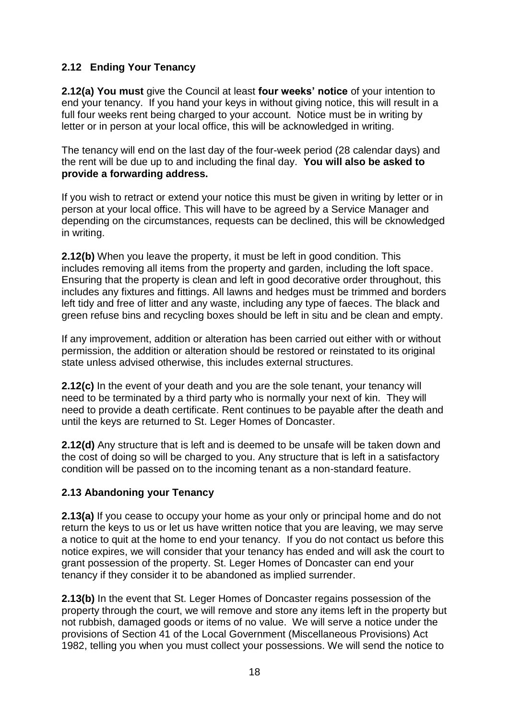# **2.12 Ending Your Tenancy**

**2.12(a) You must** give the Council at least **four weeks' notice** of your intention to end your tenancy. If you hand your keys in without giving notice, this will result in a full four weeks rent being charged to your account. Notice must be in writing by letter or in person at your local office, this will be acknowledged in writing.

The tenancy will end on the last day of the four-week period (28 calendar days) and the rent will be due up to and including the final day. **You will also be asked to provide a forwarding address.**

If you wish to retract or extend your notice this must be given in writing by letter or in person at your local office. This will have to be agreed by a Service Manager and depending on the circumstances, requests can be declined, this will be cknowledged in writing.

**2.12(b)** When you leave the property, it must be left in good condition. This includes removing all items from the property and garden, including the loft space. Ensuring that the property is clean and left in good decorative order throughout, this includes any fixtures and fittings. All lawns and hedges must be trimmed and borders left tidy and free of litter and any waste, including any type of faeces. The black and green refuse bins and recycling boxes should be left in situ and be clean and empty.

If any improvement, addition or alteration has been carried out either with or without permission, the addition or alteration should be restored or reinstated to its original state unless advised otherwise, this includes external structures.

**2.12(c)** In the event of your death and you are the sole tenant, your tenancy will need to be terminated by a third party who is normally your next of kin. They will need to provide a death certificate. Rent continues to be payable after the death and until the keys are returned to St. Leger Homes of Doncaster.

**2.12(d)** Any structure that is left and is deemed to be unsafe will be taken down and the cost of doing so will be charged to you. Any structure that is left in a satisfactory condition will be passed on to the incoming tenant as a non-standard feature.

# **2.13 Abandoning your Tenancy**

**2.13(a)** If you cease to occupy your home as your only or principal home and do not return the keys to us or let us have written notice that you are leaving, we may serve a notice to quit at the home to end your tenancy. If you do not contact us before this notice expires, we will consider that your tenancy has ended and will ask the court to grant possession of the property. St. Leger Homes of Doncaster can end your tenancy if they consider it to be abandoned as implied surrender.

**2.13(b)** In the event that St. Leger Homes of Doncaster regains possession of the property through the court, we will remove and store any items left in the property but not rubbish, damaged goods or items of no value. We will serve a notice under the provisions of Section 41 of the Local Government (Miscellaneous Provisions) Act 1982, telling you when you must collect your possessions. We will send the notice to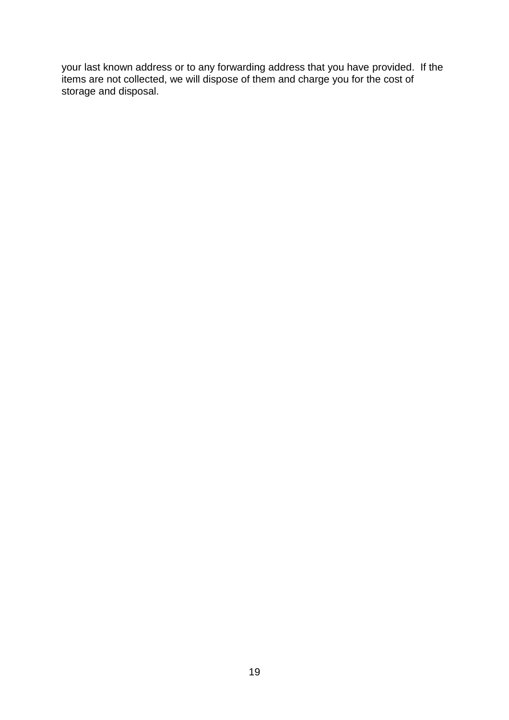your last known address or to any forwarding address that you have provided. If the items are not collected, we will dispose of them and charge you for the cost of storage and disposal.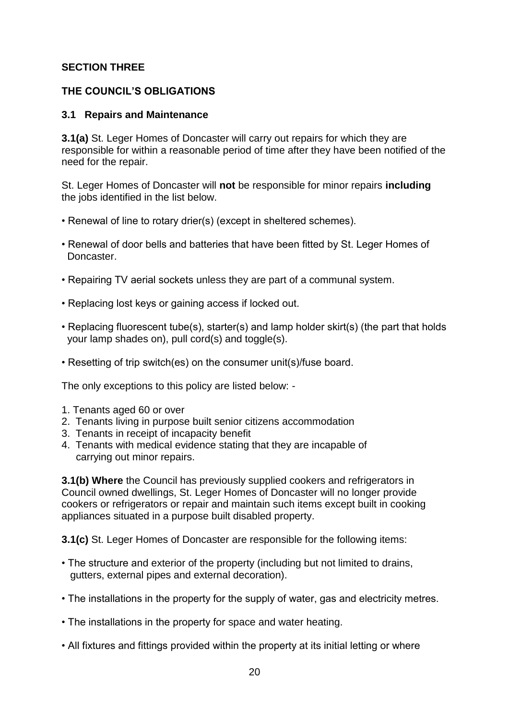## **SECTION THREE**

## **THE COUNCIL'S OBLIGATIONS**

## **3.1 Repairs and Maintenance**

**3.1(a)** St. Leger Homes of Doncaster will carry out repairs for which they are responsible for within a reasonable period of time after they have been notified of the need for the repair.

St. Leger Homes of Doncaster will **not** be responsible for minor repairs **including**  the jobs identified in the list below.

- Renewal of line to rotary drier(s) (except in sheltered schemes).
- Renewal of door bells and batteries that have been fitted by St. Leger Homes of Doncaster.
- Repairing TV aerial sockets unless they are part of a communal system.
- Replacing lost keys or gaining access if locked out.
- Replacing fluorescent tube(s), starter(s) and lamp holder skirt(s) (the part that holds your lamp shades on), pull cord(s) and toggle(s).
- Resetting of trip switch(es) on the consumer unit(s)/fuse board.

The only exceptions to this policy are listed below: -

- 1. Tenants aged 60 or over
- 2. Tenants living in purpose built senior citizens accommodation
- 3. Tenants in receipt of incapacity benefit
- 4. Tenants with medical evidence stating that they are incapable of carrying out minor repairs.

**3.1(b) Where** the Council has previously supplied cookers and refrigerators in Council owned dwellings, St. Leger Homes of Doncaster will no longer provide cookers or refrigerators or repair and maintain such items except built in cooking appliances situated in a purpose built disabled property.

**3.1(c)** St. Leger Homes of Doncaster are responsible for the following items:

- The structure and exterior of the property (including but not limited to drains, gutters, external pipes and external decoration).
- The installations in the property for the supply of water, gas and electricity metres.
- The installations in the property for space and water heating.
- All fixtures and fittings provided within the property at its initial letting or where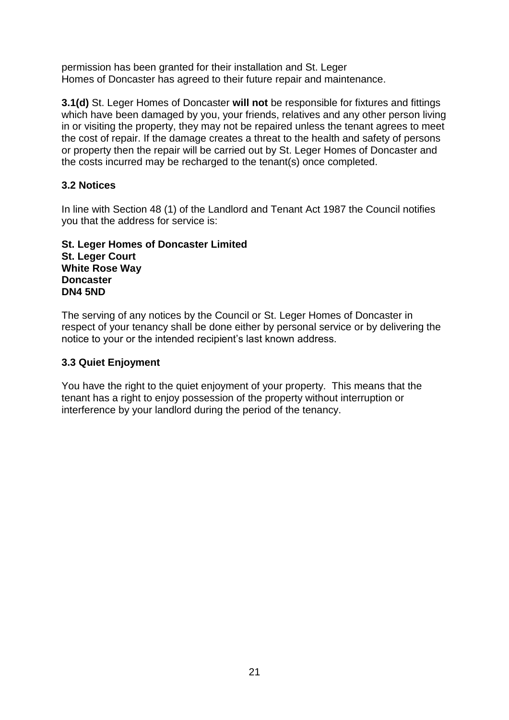permission has been granted for their installation and St. Leger Homes of Doncaster has agreed to their future repair and maintenance.

**3.1(d)** St. Leger Homes of Doncaster **will not** be responsible for fixtures and fittings which have been damaged by you, your friends, relatives and any other person living in or visiting the property, they may not be repaired unless the tenant agrees to meet the cost of repair. If the damage creates a threat to the health and safety of persons or property then the repair will be carried out by St. Leger Homes of Doncaster and the costs incurred may be recharged to the tenant(s) once completed.

# **3.2 Notices**

In line with Section 48 (1) of the Landlord and Tenant Act 1987 the Council notifies you that the address for service is:

#### **St. Leger Homes of Doncaster Limited St. Leger Court White Rose Way Doncaster DN4 5ND**

The serving of any notices by the Council or St. Leger Homes of Doncaster in respect of your tenancy shall be done either by personal service or by delivering the notice to your or the intended recipient's last known address.

# **3.3 Quiet Enjoyment**

You have the right to the quiet enjoyment of your property. This means that the tenant has a right to enjoy possession of the property without interruption or interference by your landlord during the period of the tenancy.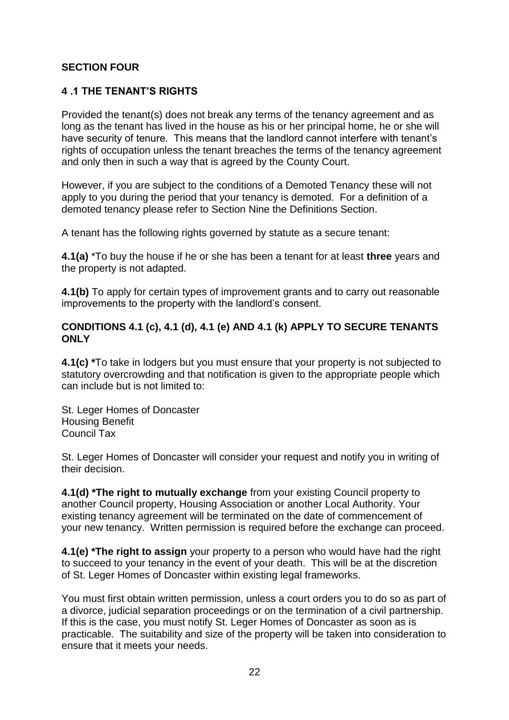## **SECTION FOUR**

## **4 .1 THE TENANT'S RIGHTS**

Provided the tenant(s) does not break any terms of the tenancy agreement and as long as the tenant has lived in the house as his or her principal home, he or she will have security of tenure. This means that the landlord cannot interfere with tenant's rights of occupation unless the tenant breaches the terms of the tenancy agreement and only then in such a way that is agreed by the County Court.

However, if you are subject to the conditions of a Demoted Tenancy these will not apply to you during the period that your tenancy is demoted. For a definition of a demoted tenancy please refer to Section Nine the Definitions Section.

A tenant has the following rights governed by statute as a secure tenant:

**4.1(a)** \*To buy the house if he or she has been a tenant for at least **three** years and the property is not adapted.

**4.1(b)** To apply for certain types of improvement grants and to carry out reasonable improvements to the property with the landlord's consent.

## **CONDITIONS 4.1 (c), 4.1 (d), 4.1 (e) AND 4.1 (k) APPLY TO SECURE TENANTS ONLY**

**4.1(c) \***To take in lodgers but you must ensure that your property is not subjected to statutory overcrowding and that notification is given to the appropriate people which can include but is not limited to:

St. Leger Homes of Doncaster Housing Benefit Council Tax

St. Leger Homes of Doncaster will consider your request and notify you in writing of their decision.

**4.1(d) \*The right to mutually exchange** from your existing Council property to another Council property, Housing Association or another Local Authority. Your existing tenancy agreement will be terminated on the date of commencement of your new tenancy. Written permission is required before the exchange can proceed.

**4.1(e) \*The right to assign** your property to a person who would have had the right to succeed to your tenancy in the event of your death. This will be at the discretion of St. Leger Homes of Doncaster within existing legal frameworks.

You must first obtain written permission, unless a court orders you to do so as part of a divorce, judicial separation proceedings or on the termination of a civil partnership. If this is the case, you must notify St. Leger Homes of Doncaster as soon as is practicable. The suitability and size of the property will be taken into consideration to ensure that it meets your needs.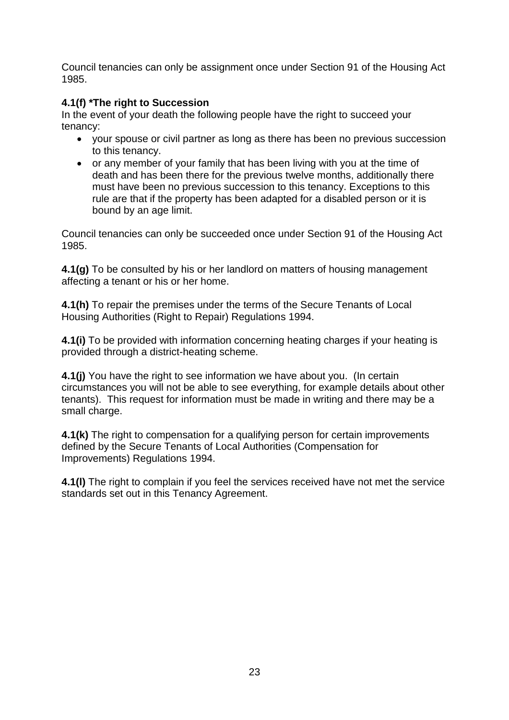Council tenancies can only be assignment once under Section 91 of the Housing Act 1985.

# **4.1(f) \*The right to Succession**

In the event of your death the following people have the right to succeed your tenancy:

- vour spouse or civil partner as long as there has been no previous succession to this tenancy.
- or any member of your family that has been living with you at the time of death and has been there for the previous twelve months, additionally there must have been no previous succession to this tenancy. Exceptions to this rule are that if the property has been adapted for a disabled person or it is bound by an age limit.

Council tenancies can only be succeeded once under Section 91 of the Housing Act 1985.

**4.1(g)** To be consulted by his or her landlord on matters of housing management affecting a tenant or his or her home.

**4.1(h)** To repair the premises under the terms of the Secure Tenants of Local Housing Authorities (Right to Repair) Regulations 1994.

**4.1(i)** To be provided with information concerning heating charges if your heating is provided through a district-heating scheme.

**4.1(j)** You have the right to see information we have about you. (In certain circumstances you will not be able to see everything, for example details about other tenants). This request for information must be made in writing and there may be a small charge.

**4.1(k)** The right to compensation for a qualifying person for certain improvements defined by the Secure Tenants of Local Authorities (Compensation for Improvements) Regulations 1994.

**4.1(l)** The right to complain if you feel the services received have not met the service standards set out in this Tenancy Agreement.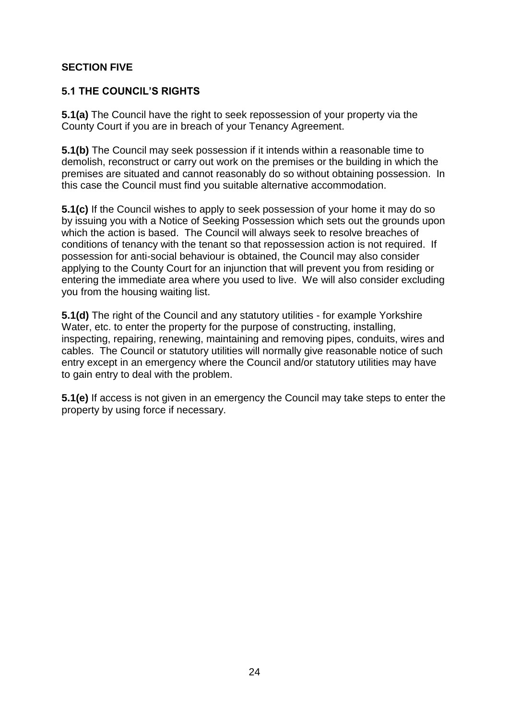## **SECTION FIVE**

## **5.1 THE COUNCIL'S RIGHTS**

**5.1(a)** The Council have the right to seek repossession of your property via the County Court if you are in breach of your Tenancy Agreement.

**5.1(b)** The Council may seek possession if it intends within a reasonable time to demolish, reconstruct or carry out work on the premises or the building in which the premises are situated and cannot reasonably do so without obtaining possession. In this case the Council must find you suitable alternative accommodation.

**5.1(c)** If the Council wishes to apply to seek possession of your home it may do so by issuing you with a Notice of Seeking Possession which sets out the grounds upon which the action is based. The Council will always seek to resolve breaches of conditions of tenancy with the tenant so that repossession action is not required. If possession for anti-social behaviour is obtained, the Council may also consider applying to the County Court for an injunction that will prevent you from residing or entering the immediate area where you used to live. We will also consider excluding you from the housing waiting list.

**5.1(d)** The right of the Council and any statutory utilities - for example Yorkshire Water, etc. to enter the property for the purpose of constructing, installing, inspecting, repairing, renewing, maintaining and removing pipes, conduits, wires and cables. The Council or statutory utilities will normally give reasonable notice of such entry except in an emergency where the Council and/or statutory utilities may have to gain entry to deal with the problem.

**5.1(e)** If access is not given in an emergency the Council may take steps to enter the property by using force if necessary.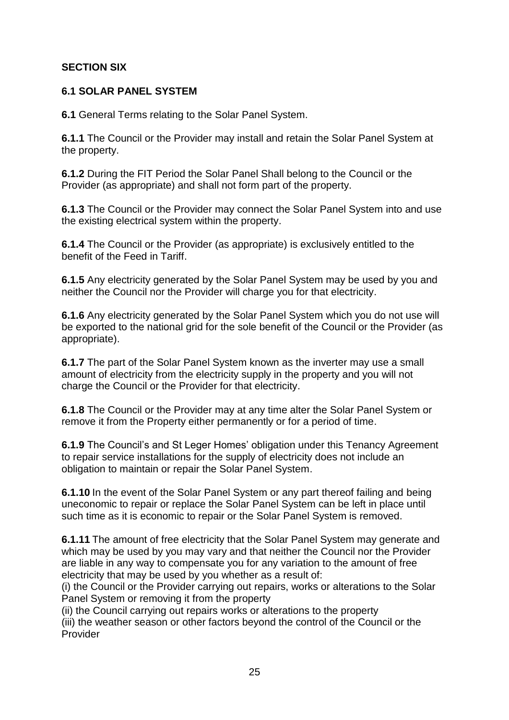# **SECTION SIX**

# **6.1 SOLAR PANEL SYSTEM**

**6.1** General Terms relating to the Solar Panel System.

**6.1.1** The Council or the Provider may install and retain the Solar Panel System at the property.

**6.1.2** During the FIT Period the Solar Panel Shall belong to the Council or the Provider (as appropriate) and shall not form part of the property.

**6.1.3** The Council or the Provider may connect the Solar Panel System into and use the existing electrical system within the property.

**6.1.4** The Council or the Provider (as appropriate) is exclusively entitled to the benefit of the Feed in Tariff.

**6.1.5** Any electricity generated by the Solar Panel System may be used by you and neither the Council nor the Provider will charge you for that electricity.

**6.1.6** Any electricity generated by the Solar Panel System which you do not use will be exported to the national grid for the sole benefit of the Council or the Provider (as appropriate).

**6.1.7** The part of the Solar Panel System known as the inverter may use a small amount of electricity from the electricity supply in the property and you will not charge the Council or the Provider for that electricity.

**6.1.8** The Council or the Provider may at any time alter the Solar Panel System or remove it from the Property either permanently or for a period of time.

**6.1.9** The Council's and St Leger Homes' obligation under this Tenancy Agreement to repair service installations for the supply of electricity does not include an obligation to maintain or repair the Solar Panel System.

**6.1.10** In the event of the Solar Panel System or any part thereof failing and being uneconomic to repair or replace the Solar Panel System can be left in place until such time as it is economic to repair or the Solar Panel System is removed.

**6.1.11** The amount of free electricity that the Solar Panel System may generate and which may be used by you may vary and that neither the Council nor the Provider are liable in any way to compensate you for any variation to the amount of free electricity that may be used by you whether as a result of:

(i) the Council or the Provider carrying out repairs, works or alterations to the Solar Panel System or removing it from the property

(ii) the Council carrying out repairs works or alterations to the property

(iii) the weather season or other factors beyond the control of the Council or the Provider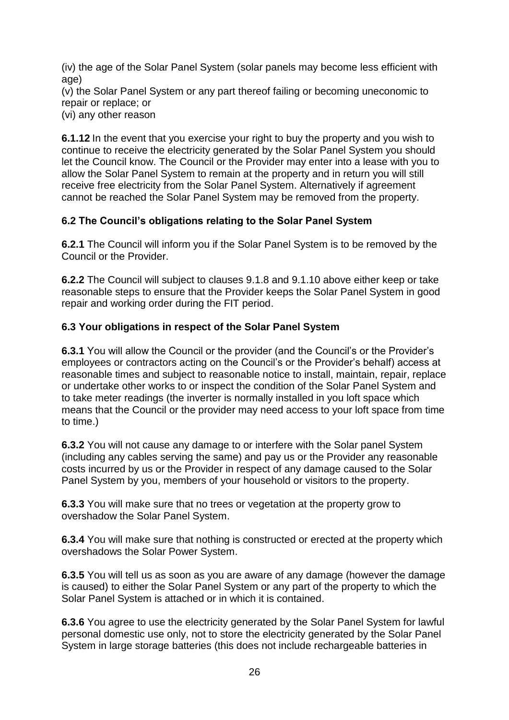(iv) the age of the Solar Panel System (solar panels may become less efficient with age)

(v) the Solar Panel System or any part thereof failing or becoming uneconomic to repair or replace; or

(vi) any other reason

**6.1.12** In the event that you exercise your right to buy the property and you wish to continue to receive the electricity generated by the Solar Panel System you should let the Council know. The Council or the Provider may enter into a lease with you to allow the Solar Panel System to remain at the property and in return you will still receive free electricity from the Solar Panel System. Alternatively if agreement cannot be reached the Solar Panel System may be removed from the property.

# **6.2 The Council's obligations relating to the Solar Panel System**

**6.2.1** The Council will inform you if the Solar Panel System is to be removed by the Council or the Provider.

**6.2.2** The Council will subject to clauses 9.1.8 and 9.1.10 above either keep or take reasonable steps to ensure that the Provider keeps the Solar Panel System in good repair and working order during the FIT period.

# **6.3 Your obligations in respect of the Solar Panel System**

**6.3.1** You will allow the Council or the provider (and the Council's or the Provider's employees or contractors acting on the Council's or the Provider's behalf) access at reasonable times and subject to reasonable notice to install, maintain, repair, replace or undertake other works to or inspect the condition of the Solar Panel System and to take meter readings (the inverter is normally installed in you loft space which means that the Council or the provider may need access to your loft space from time to time.)

**6.3.2** You will not cause any damage to or interfere with the Solar panel System (including any cables serving the same) and pay us or the Provider any reasonable costs incurred by us or the Provider in respect of any damage caused to the Solar Panel System by you, members of your household or visitors to the property.

**6.3.3** You will make sure that no trees or vegetation at the property grow to overshadow the Solar Panel System.

**6.3.4** You will make sure that nothing is constructed or erected at the property which overshadows the Solar Power System.

**6.3.5** You will tell us as soon as you are aware of any damage (however the damage is caused) to either the Solar Panel System or any part of the property to which the Solar Panel System is attached or in which it is contained.

**6.3.6** You agree to use the electricity generated by the Solar Panel System for lawful personal domestic use only, not to store the electricity generated by the Solar Panel System in large storage batteries (this does not include rechargeable batteries in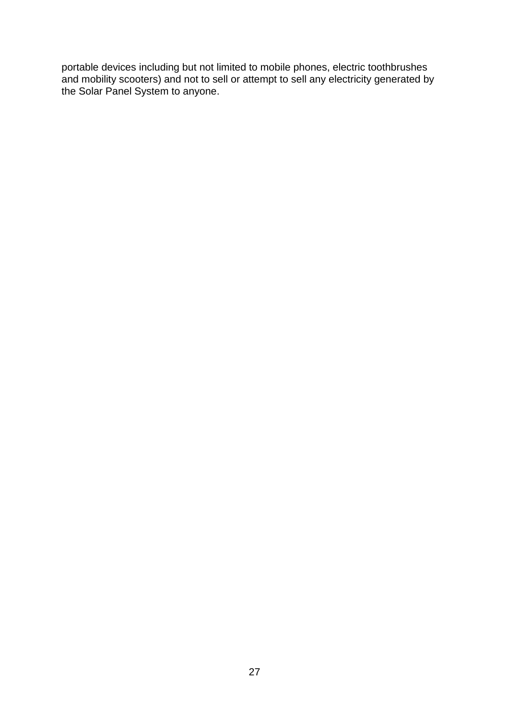portable devices including but not limited to mobile phones, electric toothbrushes and mobility scooters) and not to sell or attempt to sell any electricity generated by the Solar Panel System to anyone.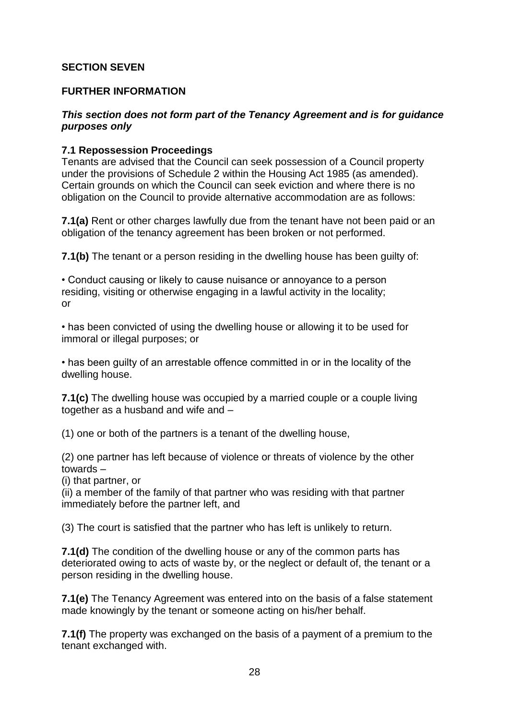## **SECTION SEVEN**

#### **FURTHER INFORMATION**

## *This section does not form part of the Tenancy Agreement and is for guidance purposes only*

#### **7.1 Repossession Proceedings**

Tenants are advised that the Council can seek possession of a Council property under the provisions of Schedule 2 within the Housing Act 1985 (as amended). Certain grounds on which the Council can seek eviction and where there is no obligation on the Council to provide alternative accommodation are as follows:

**7.1(a)** Rent or other charges lawfully due from the tenant have not been paid or an obligation of the tenancy agreement has been broken or not performed.

**7.1(b)** The tenant or a person residing in the dwelling house has been quilty of:

• Conduct causing or likely to cause nuisance or annoyance to a person residing, visiting or otherwise engaging in a lawful activity in the locality; or

• has been convicted of using the dwelling house or allowing it to be used for immoral or illegal purposes; or

• has been guilty of an arrestable offence committed in or in the locality of the dwelling house.

**7.1(c)** The dwelling house was occupied by a married couple or a couple living together as a husband and wife and –

(1) one or both of the partners is a tenant of the dwelling house,

(2) one partner has left because of violence or threats of violence by the other towards –

(i) that partner, or

(ii) a member of the family of that partner who was residing with that partner immediately before the partner left, and

(3) The court is satisfied that the partner who has left is unlikely to return.

**7.1(d)** The condition of the dwelling house or any of the common parts has deteriorated owing to acts of waste by, or the neglect or default of, the tenant or a person residing in the dwelling house.

**7.1(e)** The Tenancy Agreement was entered into on the basis of a false statement made knowingly by the tenant or someone acting on his/her behalf.

**7.1(f)** The property was exchanged on the basis of a payment of a premium to the tenant exchanged with.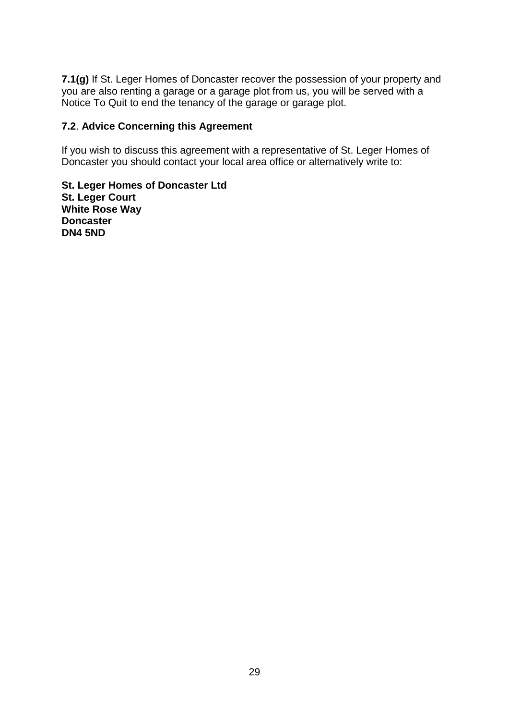**7.1(g)** If St. Leger Homes of Doncaster recover the possession of your property and you are also renting a garage or a garage plot from us, you will be served with a Notice To Quit to end the tenancy of the garage or garage plot.

## **7.2**. **Advice Concerning this Agreement**

If you wish to discuss this agreement with a representative of St. Leger Homes of Doncaster you should contact your local area office or alternatively write to:

**St. Leger Homes of Doncaster Ltd St. Leger Court White Rose Way Doncaster DN4 5ND**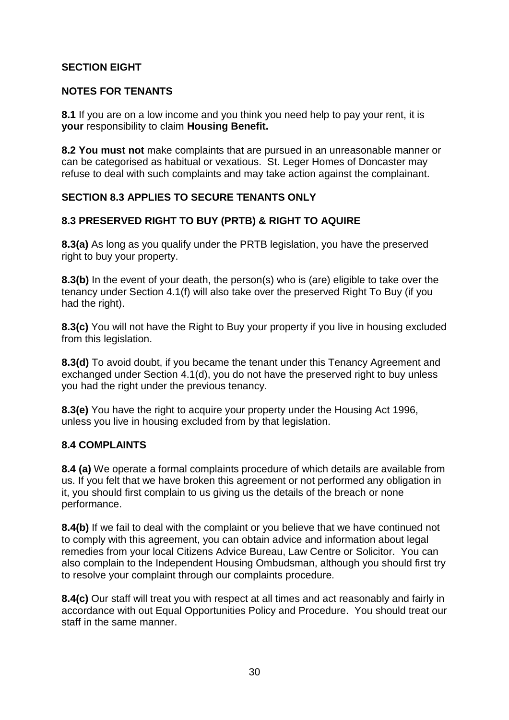# **SECTION EIGHT**

# **NOTES FOR TENANTS**

**8.1** If you are on a low income and you think you need help to pay your rent, it is **your** responsibility to claim **Housing Benefit.**

**8.2 You must not** make complaints that are pursued in an unreasonable manner or can be categorised as habitual or vexatious. St. Leger Homes of Doncaster may refuse to deal with such complaints and may take action against the complainant.

# **SECTION 8.3 APPLIES TO SECURE TENANTS ONLY**

# **8.3 PRESERVED RIGHT TO BUY (PRTB) & RIGHT TO AQUIRE**

**8.3(a)** As long as you qualify under the PRTB legislation, you have the preserved right to buy your property.

**8.3(b)** In the event of your death, the person(s) who is (are) eligible to take over the tenancy under Section 4.1(f) will also take over the preserved Right To Buy (if you had the right).

**8.3(c)** You will not have the Right to Buy your property if you live in housing excluded from this legislation.

**8.3(d)** To avoid doubt, if you became the tenant under this Tenancy Agreement and exchanged under Section 4.1(d), you do not have the preserved right to buy unless you had the right under the previous tenancy.

**8.3(e)** You have the right to acquire your property under the Housing Act 1996, unless you live in housing excluded from by that legislation.

# **8.4 COMPLAINTS**

**8.4 (a)** We operate a formal complaints procedure of which details are available from us. If you felt that we have broken this agreement or not performed any obligation in it, you should first complain to us giving us the details of the breach or none performance.

**8.4(b)** If we fail to deal with the complaint or you believe that we have continued not to comply with this agreement, you can obtain advice and information about legal remedies from your local Citizens Advice Bureau, Law Centre or Solicitor. You can also complain to the Independent Housing Ombudsman, although you should first try to resolve your complaint through our complaints procedure.

**8.4(c)** Our staff will treat you with respect at all times and act reasonably and fairly in accordance with out Equal Opportunities Policy and Procedure. You should treat our staff in the same manner.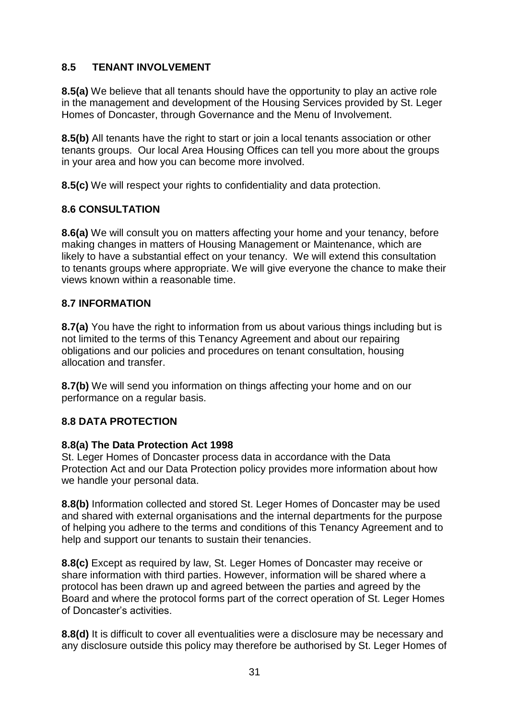# **8.5 TENANT INVOLVEMENT**

**8.5(a)** We believe that all tenants should have the opportunity to play an active role in the management and development of the Housing Services provided by St. Leger Homes of Doncaster, through Governance and the Menu of Involvement.

**8.5(b)** All tenants have the right to start or join a local tenants association or other tenants groups. Our local Area Housing Offices can tell you more about the groups in your area and how you can become more involved.

**8.5(c)** We will respect your rights to confidentiality and data protection.

# **8.6 CONSULTATION**

**8.6(a)** We will consult you on matters affecting your home and your tenancy, before making changes in matters of Housing Management or Maintenance, which are likely to have a substantial effect on your tenancy. We will extend this consultation to tenants groups where appropriate. We will give everyone the chance to make their views known within a reasonable time.

# **8.7 INFORMATION**

**8.7(a)** You have the right to information from us about various things including but is not limited to the terms of this Tenancy Agreement and about our repairing obligations and our policies and procedures on tenant consultation, housing allocation and transfer.

**8.7(b)** We will send you information on things affecting your home and on our performance on a regular basis.

# **8.8 DATA PROTECTION**

#### **8.8(a) The Data Protection Act 1998**

St. Leger Homes of Doncaster process data in accordance with the Data Protection Act and our Data Protection policy provides more information about how we handle your personal data.

**8.8(b)** Information collected and stored St. Leger Homes of Doncaster may be used and shared with external organisations and the internal departments for the purpose of helping you adhere to the terms and conditions of this Tenancy Agreement and to help and support our tenants to sustain their tenancies.

**8.8(c)** Except as required by law, St. Leger Homes of Doncaster may receive or share information with third parties. However, information will be shared where a protocol has been drawn up and agreed between the parties and agreed by the Board and where the protocol forms part of the correct operation of St. Leger Homes of Doncaster's activities.

**8.8(d)** It is difficult to cover all eventualities were a disclosure may be necessary and any disclosure outside this policy may therefore be authorised by St. Leger Homes of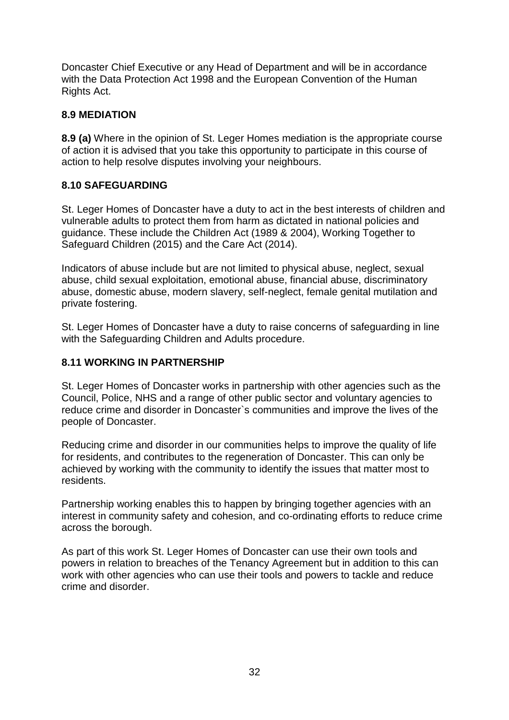Doncaster Chief Executive or any Head of Department and will be in accordance with the Data Protection Act 1998 and the European Convention of the Human Rights Act.

## **8.9 MEDIATION**

**8.9 (a)** Where in the opinion of St. Leger Homes mediation is the appropriate course of action it is advised that you take this opportunity to participate in this course of action to help resolve disputes involving your neighbours.

## **8.10 SAFEGUARDING**

St. Leger Homes of Doncaster have a duty to act in the best interests of children and vulnerable adults to protect them from harm as dictated in national policies and guidance. These include the Children Act (1989 & 2004), Working Together to Safeguard Children (2015) and the Care Act (2014).

Indicators of abuse include but are not limited to physical abuse, neglect, sexual abuse, child sexual exploitation, emotional abuse, financial abuse, discriminatory abuse, domestic abuse, modern slavery, self-neglect, female genital mutilation and private fostering.

St. Leger Homes of Doncaster have a duty to raise concerns of safeguarding in line with the Safeguarding Children and Adults procedure.

## **8.11 WORKING IN PARTNERSHIP**

St. Leger Homes of Doncaster works in partnership with other agencies such as the Council, Police, NHS and a range of other public sector and voluntary agencies to reduce crime and disorder in Doncaster`s communities and improve the lives of the people of Doncaster.

Reducing crime and disorder in our communities helps to improve the quality of life for residents, and contributes to the regeneration of Doncaster. This can only be achieved by working with the community to identify the issues that matter most to residents.

Partnership working enables this to happen by bringing together agencies with an interest in community safety and cohesion, and co-ordinating efforts to reduce crime across the borough.

As part of this work St. Leger Homes of Doncaster can use their own tools and powers in relation to breaches of the Tenancy Agreement but in addition to this can work with other agencies who can use their tools and powers to tackle and reduce crime and disorder.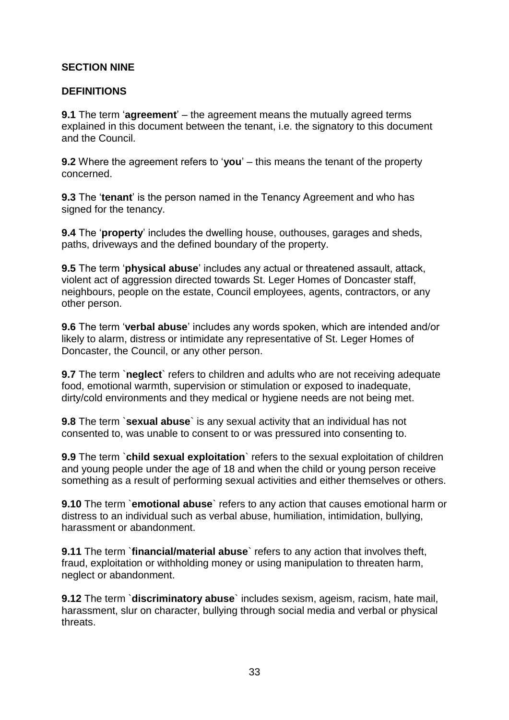## **SECTION NINE**

#### **DEFINITIONS**

**9.1** The term '**agreement**' – the agreement means the mutually agreed terms explained in this document between the tenant, i.e. the signatory to this document and the Council.

**9.2** Where the agreement refers to '**you**' – this means the tenant of the property concerned.

**9.3** The '**tenant**' is the person named in the Tenancy Agreement and who has signed for the tenancy.

**9.4** The '**property**' includes the dwelling house, outhouses, garages and sheds, paths, driveways and the defined boundary of the property.

**9.5** The term '**physical abuse**' includes any actual or threatened assault, attack, violent act of aggression directed towards St. Leger Homes of Doncaster staff, neighbours, people on the estate, Council employees, agents, contractors, or any other person.

**9.6** The term '**verbal abuse**' includes any words spoken, which are intended and/or likely to alarm, distress or intimidate any representative of St. Leger Homes of Doncaster, the Council, or any other person.

**9.7** The term `**neglect**` refers to children and adults who are not receiving adequate food, emotional warmth, supervision or stimulation or exposed to inadequate, dirty/cold environments and they medical or hygiene needs are not being met.

**9.8** The term `**sexual abuse**` is any sexual activity that an individual has not consented to, was unable to consent to or was pressured into consenting to.

**9.9** The term `**child sexual exploitation**` refers to the sexual exploitation of children and young people under the age of 18 and when the child or young person receive something as a result of performing sexual activities and either themselves or others.

**9.10** The term `**emotional abuse**` refers to any action that causes emotional harm or distress to an individual such as verbal abuse, humiliation, intimidation, bullying, harassment or abandonment.

**9.11** The term `**financial/material abuse**` refers to any action that involves theft, fraud, exploitation or withholding money or using manipulation to threaten harm, neglect or abandonment.

**9.12** The term `**discriminatory abuse**` includes sexism, ageism, racism, hate mail, harassment, slur on character, bullying through social media and verbal or physical threats.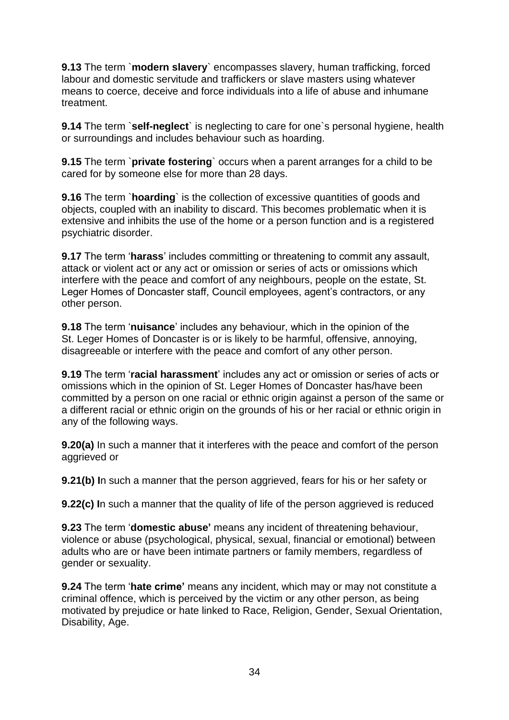**9.13** The term `**modern slavery**` encompasses slavery, human trafficking, forced labour and domestic servitude and traffickers or slave masters using whatever means to coerce, deceive and force individuals into a life of abuse and inhumane treatment.

**9.14** The term `**self-neglect**` is neglecting to care for one`s personal hygiene, health or surroundings and includes behaviour such as hoarding.

**9.15** The term `**private fostering**` occurs when a parent arranges for a child to be cared for by someone else for more than 28 days.

**9.16** The term `**hoarding**` is the collection of excessive quantities of goods and objects, coupled with an inability to discard. This becomes problematic when it is extensive and inhibits the use of the home or a person function and is a registered psychiatric disorder.

**9.17** The term '**harass**' includes committing or threatening to commit any assault, attack or violent act or any act or omission or series of acts or omissions which interfere with the peace and comfort of any neighbours, people on the estate, St. Leger Homes of Doncaster staff, Council employees, agent's contractors, or any other person.

**9.18** The term '**nuisance**' includes any behaviour, which in the opinion of the St. Leger Homes of Doncaster is or is likely to be harmful, offensive, annoying, disagreeable or interfere with the peace and comfort of any other person.

**9.19** The term '**racial harassment**' includes any act or omission or series of acts or omissions which in the opinion of St. Leger Homes of Doncaster has/have been committed by a person on one racial or ethnic origin against a person of the same or a different racial or ethnic origin on the grounds of his or her racial or ethnic origin in any of the following ways.

**9.20(a)** In such a manner that it interferes with the peace and comfort of the person aggrieved or

**9.21(b) I**n such a manner that the person aggrieved, fears for his or her safety or

**9.22(c) I**n such a manner that the quality of life of the person aggrieved is reduced

**9.23** The term '**domestic abuse'** means any incident of threatening behaviour, violence or abuse (psychological, physical, sexual, financial or emotional) between adults who are or have been intimate partners or family members, regardless of gender or sexuality.

**9.24** The term '**hate crime'** means any incident, which may or may not constitute a criminal offence, which is perceived by the victim or any other person, as being motivated by prejudice or hate linked to Race, Religion, Gender, Sexual Orientation, Disability, Age.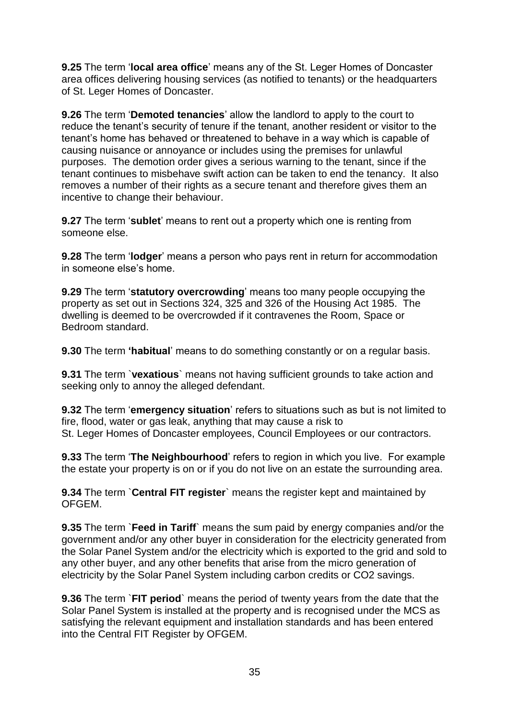**9.25** The term '**local area office**' means any of the St. Leger Homes of Doncaster area offices delivering housing services (as notified to tenants) or the headquarters of St. Leger Homes of Doncaster.

**9.26** The term '**Demoted tenancies**' allow the landlord to apply to the court to reduce the tenant's security of tenure if the tenant, another resident or visitor to the tenant's home has behaved or threatened to behave in a way which is capable of causing nuisance or annoyance or includes using the premises for unlawful purposes. The demotion order gives a serious warning to the tenant, since if the tenant continues to misbehave swift action can be taken to end the tenancy. It also removes a number of their rights as a secure tenant and therefore gives them an incentive to change their behaviour.

**9.27** The term '**sublet**' means to rent out a property which one is renting from someone else.

**9.28** The term '**lodger**' means a person who pays rent in return for accommodation in someone else's home.

**9.29** The term '**statutory overcrowding**' means too many people occupying the property as set out in Sections 324, 325 and 326 of the Housing Act 1985. The dwelling is deemed to be overcrowded if it contravenes the Room, Space or Bedroom standard.

**9.30** The term **'habitual**' means to do something constantly or on a regular basis.

**9.31** The term `**vexatious**` means not having sufficient grounds to take action and seeking only to annoy the alleged defendant.

**9.32** The term '**emergency situation**' refers to situations such as but is not limited to fire, flood, water or gas leak, anything that may cause a risk to St. Leger Homes of Doncaster employees, Council Employees or our contractors.

**9.33** The term '**The Neighbourhood**' refers to region in which you live. For example the estate your property is on or if you do not live on an estate the surrounding area.

**9.34** The term `**Central FIT register**` means the register kept and maintained by OFGEM.

**9.35** The term `**Feed in Tariff**` means the sum paid by energy companies and/or the government and/or any other buyer in consideration for the electricity generated from the Solar Panel System and/or the electricity which is exported to the grid and sold to any other buyer, and any other benefits that arise from the micro generation of electricity by the Solar Panel System including carbon credits or CO2 savings.

**9.36** The term `**FIT period**` means the period of twenty years from the date that the Solar Panel System is installed at the property and is recognised under the MCS as satisfying the relevant equipment and installation standards and has been entered into the Central FIT Register by OFGEM.